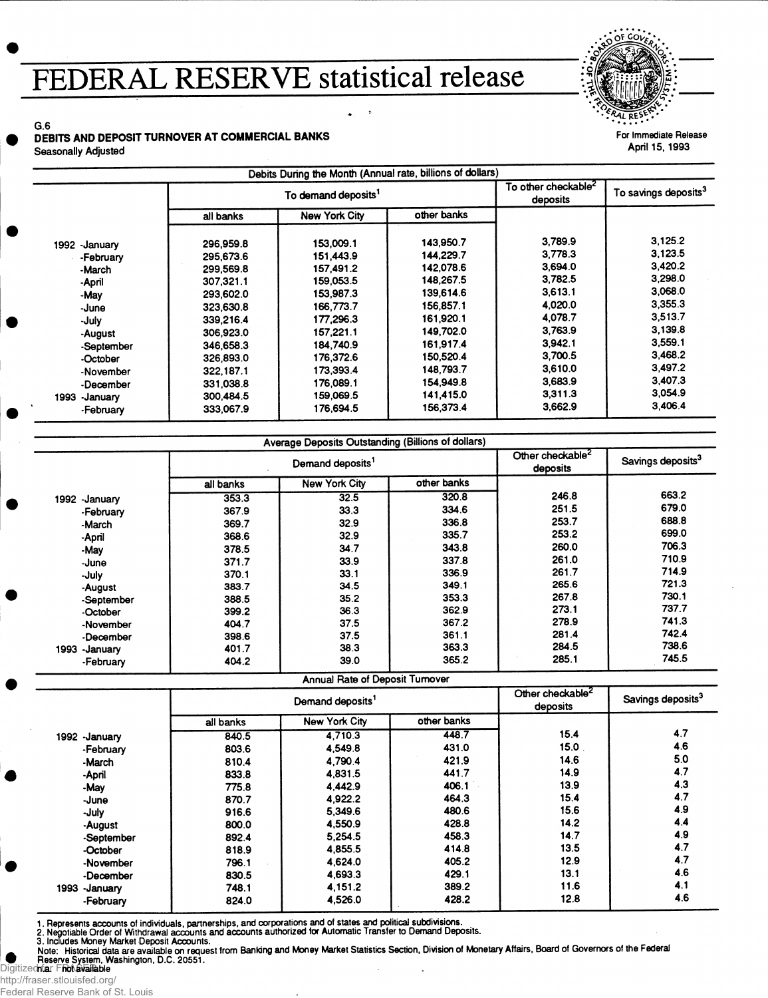# **FEDERAL RESERVE statistical release**

For Immediate Release **April 15, 1993**

### G.6 **DEBITS AND DEPOSIT TURNOVER AT COMMERCIAL BANKS** Seasonally Adjusted

|                  | To demand deposits <sup>1</sup> |                      |             | To other checkable <sup>2</sup><br>deposits | To savings deposits <sup>3</sup> |
|------------------|---------------------------------|----------------------|-------------|---------------------------------------------|----------------------------------|
|                  | all banks                       | <b>New York City</b> | other banks |                                             |                                  |
| 1992 -January    | 296,959.8                       | 153,009.1            | 143,950.7   | 3,789.9                                     | 3,125.2                          |
| -February        | 295,673.6                       | 151.443.9            | 144,229.7   | 3.778.3                                     | 3.123.5                          |
| -March           | 299,569.8                       | 157,491.2            | 142.078.6   | 3,694.0                                     | 3,420.2                          |
| -April           | 307,321.1                       | 159.053.5            | 148.267.5   | 3,782.5                                     | 3,298.0                          |
| -May             | 293,602.0                       | 153.987.3            | 139,614.6   | 3,613.1                                     | 3.068.0                          |
| -June            | 323,630.8                       | 166,773.7            | 156,857.1   | 4.020.0                                     | 3,355.3                          |
| -July            | 339,216.4                       | 177.296.3            | 161,920.1   | 4,078.7                                     | 3,513.7                          |
| -August          | 306,923.0                       | 157,221.1            | 149,702.0   | 3.763.9                                     | 3,139.8                          |
| -September       | 346,658.3                       | 184,740.9            | 161,917.4   | 3,942.1                                     | 3.559.1                          |
| -October         | 326,893.0                       | 176,372.6            | 150,520.4   | 3,700.5                                     | 3,468.2                          |
| -November        | 322.187.1                       | 173,393.4            | 148.793.7   | 3,610.0                                     | 3.497.2                          |
| -December        | 331,038.8                       | 176,089.1            | 154,949.8   | 3,683.9                                     | 3.407.3                          |
| 1993<br>-January | 300,484.5                       | 159,069.5            | 141,415.0   | 3,311.3                                     | 3,054.9                          |
| -February        | 333,067.9                       | 176,694.5            | 156,373.4   | 3,662.9                                     | 3,406.4                          |

|                  | Demand deposits <sup>1</sup> |                      |             | Other checkable <sup>2</sup><br>deposits | Savings deposits <sup>3</sup> |
|------------------|------------------------------|----------------------|-------------|------------------------------------------|-------------------------------|
|                  | all banks                    | <b>New York City</b> | other banks |                                          |                               |
| 1992 - January   | 353.3                        | 32.5                 | 320.8       | 246.8                                    | 663.2                         |
| -February        | 367.9                        | 33.3                 | 334.6       | 251.5                                    | 679.0                         |
| -March           | 369.7                        | 32.9                 | 336.8       | 253.7                                    | 688.8                         |
| -April           | 368.6                        | 32.9                 | 335.7       | 253.2                                    | 699.0                         |
| -May             | 378.5                        | 34.7                 | 343.8       | 260.0                                    | 706.3                         |
| -June            | 371.7                        | 33.9                 | 337.8       | 261.0                                    | 710.9                         |
| -July            | 370.1                        | 33.1                 | 336.9       | 261.7                                    | 714.9                         |
| -August          | 383.7                        | 34.5                 | 349.1       | 265.6                                    | 721.3                         |
| -September       | 388.5                        | 35.2                 | 353.3       | 267.8                                    | 730.1                         |
| -October         | 399.2                        | 36.3                 | 362.9       | 273.1                                    | 737.7                         |
| -November        | 404.7                        | 37.5                 | 367.2       | 278.9                                    | 741.3                         |
| -December        | 398.6                        | 37.5                 | 361.1       | 281.4                                    | 742.4                         |
| 1993<br>-January | 401.7                        | 38.3                 | 363.3       | 284.5                                    | 738.6                         |
| -February        | 404.2                        | 39.0                 | 365.2       | 285.1                                    | 745.5                         |

Annual Rate of Deposit Turnover

|                  | Demand deposits <sup>1</sup> |               |             | Other checkable <sup>2</sup><br>deposits | Savings deposits <sup>3</sup> |
|------------------|------------------------------|---------------|-------------|------------------------------------------|-------------------------------|
|                  | all banks                    | New York City | other banks |                                          |                               |
| 1992 - January   | 840.5                        | 4.710.3       | 448.7       | 15.4                                     | 4.7                           |
| -February        | 803.6                        | 4,549.8       | 431.0       | 15.0                                     | 4.6                           |
| -March           | 810.4                        | 4.790.4       | 421.9       | 14.6                                     | 5.0                           |
| -April           | 833.8                        | 4,831.5       | 441.7       | 14.9                                     | 4.7                           |
| -May             | 775.8                        | 4.442.9       | 406.1       | 13.9                                     | 4.3                           |
| -June            | 870.7                        | 4.922.2       | 464.3       | 15.4                                     | 4.7                           |
| -July            | 916.6                        | 5,349.6       | 480.6       | 15.6                                     | 4.9                           |
| -August          | 800.0                        | 4,550.9       | 428.8       | 14.2                                     | 4.4                           |
| -September       | 892.4                        | 5,254.5       | 458.3       | 14.7                                     | 4.9                           |
| -October         | 818.9                        | 4,855.5       | 414.8       | 13.5                                     | 4.7                           |
| -November        | 796.1                        | 4,624.0       | 405.2       | 12.9                                     | 4.7                           |
| -December        | 830.5                        | 4,693.3       | 429.1       | 13.1                                     | 4.6                           |
| 1993<br>-Januarv | 748.1                        | 4,151.2       | 389.2       | 11.6                                     | 4.1                           |
| -February        | 824.0                        | 4,526.0       | 428.2       | 12.8                                     | 4.6                           |

1. Represents accounts of individuals, partnerships, and corporations and of states and political subdivisions.<br>2. Negotiable Order of Withdrawal accounts and accounts authorized for Automatic Transfer to Demand Deposits.<br> **Digitizeerie System, Washington, D.C. 20551.**<br>Digitized**niar Friot available** 

http://fraser.stlouisfed.org/ Federal Reserve Bank of St. Louis